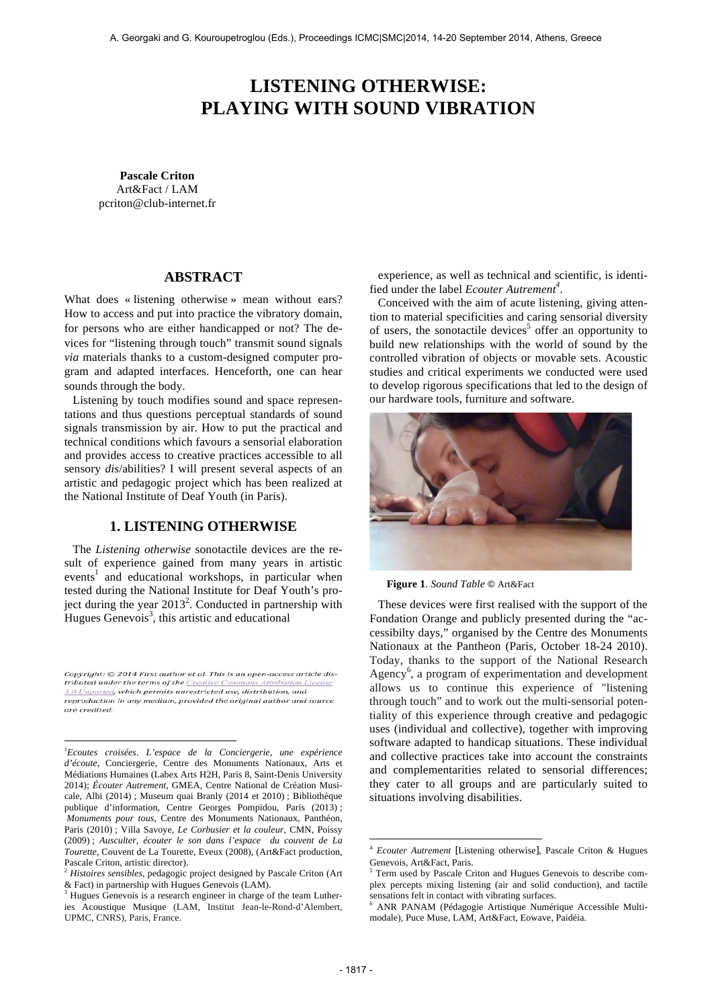# **LISTENING OTHERWISE: PLAYING WITH SOUND VIBRATION**

**Pascale Criton** Art&Fact / LAM pcriton@club-internet.fr

# **ABSTRACT**

What does « listening otherwise » mean without ears? How to access and put into practice the vibratory domain, for persons who are either handicapped or not? The devices for "listening through touch" transmit sound signals *via* materials thanks to a custom-designed computer program and adapted interfaces. Henceforth, one can hear sounds through the body.

Listening by touch modifies sound and space representations and thus questions perceptual standards of sound signals transmission by air. How to put the practical and technical conditions which favours a sensorial elaboration and provides access to creative practices accessible to all sensory *dis*/abilities? I will present several aspects of an artistic and pedagogic project which has been realized at the National Institute of Deaf Youth (in Paris).

# **1. LISTENING OTHERWISE**

The *Listening otherwise* sonotactile devices are the result of experience gained from many years in artistic events<sup>1</sup> and educational workshops, in particular when tested during the National Institute for Deaf Youth's project during the year  $2013^2$ . Conducted in partnership with Hugues Genevois<sup>3</sup>, this artistic and educational

Copyright: © 2014 First author et al. This is an open-access article distributed under the terms of the Creative Commons Attribution License 3.0 Unported, which permits unrestricted use, distribution, and reproduction in any medium, provided the original author and source are credited.

 $\overline{a}$ 

experience, as well as technical and scientific, is identified under the label *Ecouter Autrement<sup>4</sup>* .

Conceived with the aim of acute listening, giving attention to material specificities and caring sensorial diversity of users, the sonotactile devices<sup>5</sup> offer an opportunity to build new relationships with the world of sound by the controlled vibration of objects or movable sets. Acoustic studies and critical experiments we conducted were used to develop rigorous specifications that led to the design of our hardware tools, furniture and software.



**Figure 1**. *Sound Table* ! Art&Fact

These devices were first realised with the support of the Fondation Orange and publicly presented during the "accessibilty days," organised by the Centre des Monuments Nationaux at the Pantheon (Paris, October 18-24 2010). Today, thanks to the support of the National Research Agency<sup>6</sup>, a program of experimentation and development allows us to continue this experience of "listening through touch" and to work out the multi-sensorial potentiality of this experience through creative and pedagogic uses (individual and collective), together with improving software adapted to handicap situations. These individual and collective practices take into account the constraints and complementarities related to sensorial differences; they cater to all groups and are particularly suited to situations involving disabilities.

l

<sup>1</sup> *Ecoutes croisées*. *L'espace de la Conciergerie, une expérience d'écoute*, Conciergerie, Centre des Monuments Nationaux, Arts et Médiations Humaines (Labex Arts H2H, Paris 8, Saint-Denis University 2014); *Écouter Autrement*, GMEA, Centre National de Création Musicale, Albi (2014) ; Museum quai Branly (2014 et 2010) ; Bibliothèque publique d'information, Centre Georges Pompidou, Paris (2013) ; *Monuments pour tous*, Centre des Monuments Nationaux, Panthéon, Paris (2010) ; Villa Savoye, *Le Corbusier et la couleur*, CMN, Poissy (2009) ; *Ausculter, écouter le son dans l'espace du couvent de La Tourette*, Couvent de La Tourette, Eveux (2008), (Art&Fact production, Pascale Criton, artistic director).

<sup>2</sup> *Histoires sensibles*, pedagogic project designed by Pascale Criton (Art & Fact) in partnership with Hugues Genevois (LAM). 3 Hugues Genevois is a research engineer in charge of the team Luther-

ies Acoustique Musique (LAM, Institut Jean-le-Rond-d'Alembert, UPMC, CNRS), Paris, France.

<sup>4</sup> *Ecouter Autrement* [Listening otherwise], Pascale Criton & Hugues Genevois, Art&Fact, Paris.

<sup>5</sup> Term used by Pascale Criton and Hugues Genevois to describe complex percepts mixing listening (air and solid conduction), and tactile sensations felt in contact with vibrating surfaces.

<sup>6</sup> ANR PANAM (Pédagogie Artistique Numérique Accessible Multimodale), Puce Muse, LAM, Art&Fact, Eowave, Paidéia.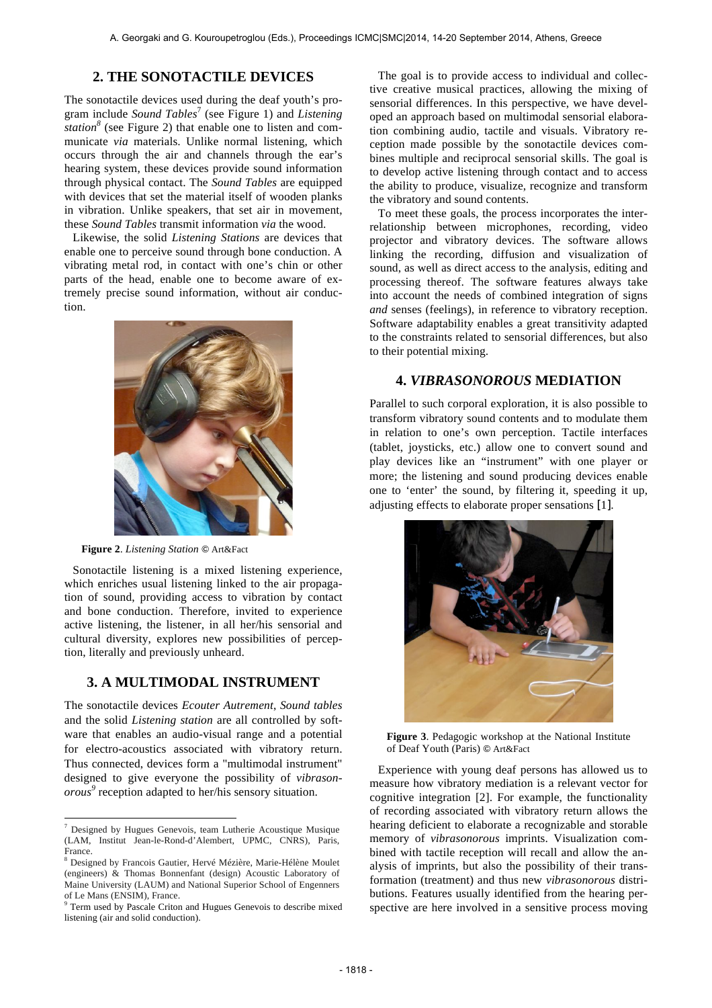# **2. THE SONOTACTILE DEVICES**

The sonotactile devices used during the deaf youth's program include *Sound Tables*<sup>7</sup> (see Figure 1) and *Listening station*<sup>8</sup> (see Figure 2) that enable one to listen and communicate *via* materials. Unlike normal listening, which occurs through the air and channels through the ear's hearing system, these devices provide sound information through physical contact. The *Sound Tables* are equipped with devices that set the material itself of wooden planks in vibration. Unlike speakers, that set air in movement, these *Sound Tables* transmit information *via* the wood.

Likewise, the solid *Listening Stations* are devices that enable one to perceive sound through bone conduction. A vibrating metal rod, in contact with one's chin or other parts of the head, enable one to become aware of extremely precise sound information, without air conduction.



**Figure 2**. *Listening Station* ! Art&Fact

Sonotactile listening is a mixed listening experience, which enriches usual listening linked to the air propagation of sound, providing access to vibration by contact and bone conduction. Therefore, invited to experience active listening, the listener, in all her/his sensorial and cultural diversity, explores new possibilities of perception, literally and previously unheard.

## **3. A MULTIMODAL INSTRUMENT**

The sonotactile devices *Ecouter Autrement*, *Sound tables* and the solid *Listening station* are all controlled by software that enables an audio-visual range and a potential for electro-acoustics associated with vibratory return. Thus connected, devices form a "multimodal instrument" designed to give everyone the possibility of *vibrasonorous<sup>9</sup>* reception adapted to her/his sensory situation.

 $\overline{a}$ 

The goal is to provide access to individual and collective creative musical practices, allowing the mixing of sensorial differences. In this perspective, we have developed an approach based on multimodal sensorial elaboration combining audio, tactile and visuals. Vibratory reception made possible by the sonotactile devices combines multiple and reciprocal sensorial skills. The goal is to develop active listening through contact and to access the ability to produce, visualize, recognize and transform the vibratory and sound contents.

To meet these goals, the process incorporates the interrelationship between microphones, recording, video projector and vibratory devices. The software allows linking the recording, diffusion and visualization of sound, as well as direct access to the analysis, editing and processing thereof. The software features always take into account the needs of combined integration of signs *and* senses (feelings), in reference to vibratory reception. Software adaptability enables a great transitivity adapted to the constraints related to sensorial differences, but also to their potential mixing.

## **4.** *VIBRASONOROUS* **MEDIATION**

Parallel to such corporal exploration, it is also possible to transform vibratory sound contents and to modulate them in relation to one's own perception. Tactile interfaces (tablet, joysticks, etc.) allow one to convert sound and play devices like an "instrument" with one player or more; the listening and sound producing devices enable one to 'enter' the sound, by filtering it, speeding it up, adjusting effects to elaborate proper sensations [1].



**Figure 3**. Pedagogic workshop at the National Institute of Deaf Youth (Paris) © Art&Fact

Experience with young deaf persons has allowed us to measure how vibratory mediation is a relevant vector for cognitive integration [2]. For example, the functionality of recording associated with vibratory return allows the hearing deficient to elaborate a recognizable and storable memory of *vibrasonorous* imprints. Visualization combined with tactile reception will recall and allow the analysis of imprints, but also the possibility of their transformation (treatment) and thus new *vibrasonorous* distributions. Features usually identified from the hearing perspective are here involved in a sensitive process moving

<sup>7</sup> Designed by Hugues Genevois, team Lutherie Acoustique Musique (LAM, Institut Jean-le-Rond-d'Alembert, UPMC, CNRS), Paris, France.

<sup>8</sup> Designed by Francois Gautier, Hervé Mézière, Marie-Hélène Moulet (engineers) & Thomas Bonnenfant (design) Acoustic Laboratory of Maine University (LAUM) and National Superior School of Engenners of Le Mans (ENSIM), France.

<sup>&</sup>lt;sup>9</sup> Term used by Pascale Criton and Hugues Genevois to describe mixed listening (air and solid conduction).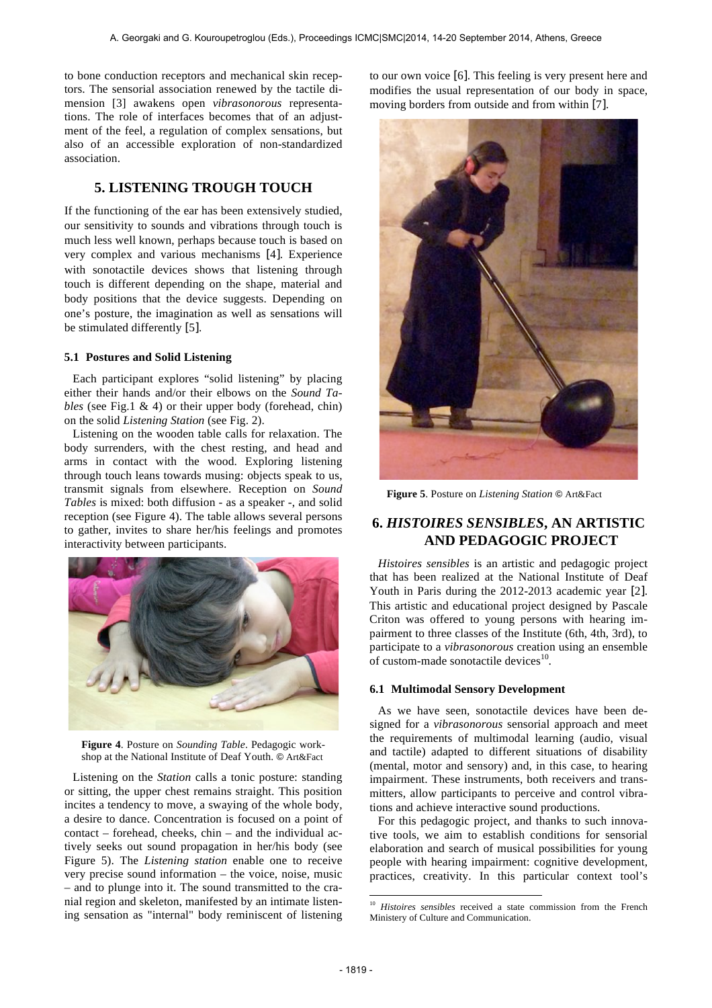to bone conduction receptors and mechanical skin receptors. The sensorial association renewed by the tactile dimension [3] awakens open *vibrasonorous* representations. The role of interfaces becomes that of an adjustment of the feel, a regulation of complex sensations, but also of an accessible exploration of non-standardized association.

# **5. LISTENING TROUGH TOUCH**

If the functioning of the ear has been extensively studied, our sensitivity to sounds and vibrations through touch is much less well known, perhaps because touch is based on very complex and various mechanisms [4]. Experience with sonotactile devices shows that listening through touch is different depending on the shape, material and body positions that the device suggests. Depending on one's posture, the imagination as well as sensations will be stimulated differently [5].

#### **5.1 Postures and Solid Listening**

Each participant explores "solid listening" by placing either their hands and/or their elbows on the *Sound Tables* (see Fig.1 & 4) or their upper body (forehead, chin) on the solid *Listening Station* (see Fig. 2).

Listening on the wooden table calls for relaxation. The body surrenders, with the chest resting, and head and arms in contact with the wood. Exploring listening through touch leans towards musing: objects speak to us, transmit signals from elsewhere. Reception on *Sound Tables* is mixed: both diffusion - as a speaker -, and solid reception (see Figure 4). The table allows several persons to gather, invites to share her/his feelings and promotes interactivity between participants.



**Figure 4**. Posture on *Sounding Table*. Pedagogic workshop at the National Institute of Deaf Youth. © Art&Fact

Listening on the *Station* calls a tonic posture: standing or sitting, the upper chest remains straight. This position incites a tendency to move, a swaying of the whole body, a desire to dance. Concentration is focused on a point of contact – forehead, cheeks, chin – and the individual actively seeks out sound propagation in her/his body (see Figure 5). The *Listening station* enable one to receive very precise sound information – the voice, noise, music – and to plunge into it. The sound transmitted to the cranial region and skeleton, manifested by an intimate listening sensation as "internal" body reminiscent of listening to our own voice [6]. This feeling is very present here and modifies the usual representation of our body in space, moving borders from outside and from within [7].



**Figure 5**. Posture on *Listening Station* ! Art&Fact

# **6.** *HISTOIRES SENSIBLES***, AN ARTISTIC AND PEDAGOGIC PROJECT**

*Histoires sensibles* is an artistic and pedagogic project that has been realized at the National Institute of Deaf Youth in Paris during the 2012-2013 academic year [2]. This artistic and educational project designed by Pascale Criton was offered to young persons with hearing impairment to three classes of the Institute (6th, 4th, 3rd), to participate to a *vibrasonorous* creation using an ensemble of custom-made sonotactile devices $10$ .

#### **6.1 Multimodal Sensory Development**

As we have seen, sonotactile devices have been designed for a *vibrasonorous* sensorial approach and meet the requirements of multimodal learning (audio, visual and tactile) adapted to different situations of disability (mental, motor and sensory) and, in this case, to hearing impairment. These instruments, both receivers and transmitters, allow participants to perceive and control vibrations and achieve interactive sound productions.

For this pedagogic project, and thanks to such innovative tools, we aim to establish conditions for sensorial elaboration and search of musical possibilities for young people with hearing impairment: cognitive development, practices, creativity. In this particular context tool's

l

<sup>10</sup> *Histoires sensibles* received a state commission from the French Ministery of Culture and Communication.